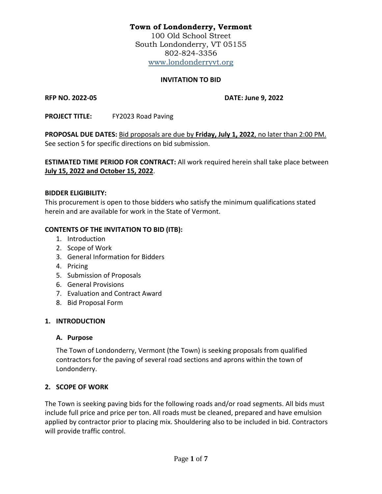# **Town of Londonderry, Vermont**

100 Old School Street South Londonderry, VT 05155 802-824-3356 [www.londonderryvt.org](http://www.londonderryvt.org/)

### **INVITATION TO BID**

**RFP NO. 2022-05 DATE: June 9, 2022**

**PROJECT TITLE:** FY2023 Road Paving

**PROPOSAL DUE DATES:** Bid proposals are due by **Friday, July 1, 2022**, no later than 2:00 PM. See section 5 for specific directions on bid submission.

**ESTIMATED TIME PERIOD FOR CONTRACT:** All work required herein shall take place between **July 15, 2022 and October 15, 2022**.

### **BIDDER ELIGIBILITY:**

This procurement is open to those bidders who satisfy the minimum qualifications stated herein and are available for work in the State of Vermont.

### **CONTENTS OF THE INVITATION TO BID (ITB):**

- 1. Introduction
- 2. Scope of Work
- 3. General Information for Bidders
- 4. Pricing
- 5. Submission of Proposals
- 6. General Provisions
- 7. Evaluation and Contract Award
- 8. Bid Proposal Form

## **1. INTRODUCTION**

## **A. Purpose**

The Town of Londonderry, Vermont (the Town) is seeking proposals from qualified contractors for the paving of several road sections and aprons within the town of Londonderry.

## **2. SCOPE OF WORK**

The Town is seeking paving bids for the following roads and/or road segments. All bids must include full price and price per ton. All roads must be cleaned, prepared and have emulsion applied by contractor prior to placing mix. Shouldering also to be included in bid. Contractors will provide traffic control.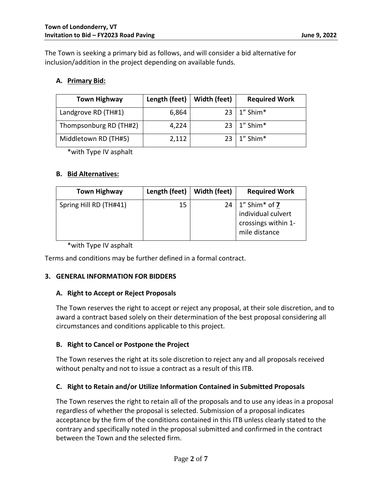The Town is seeking a primary bid as follows, and will consider a bid alternative for inclusion/addition in the project depending on available funds.

### **A. Primary Bid:**

| <b>Town Highway</b>    | Length (feet) | Width (feet) | <b>Required Work</b> |
|------------------------|---------------|--------------|----------------------|
| Landgrove RD (TH#1)    | 6,864         |              | $23 \mid 1''$ Shim*  |
| Thompsonburg RD (TH#2) | 4,224         |              | $23 \mid 1''$ Shim*  |
| Middletown RD (TH#5)   | 2,112         |              | $23 \mid 1$ " Shim*  |

\*with Type IV asphalt

### **B. Bid Alternatives:**

| <b>Town Highway</b>    | Length (feet) | Width (feet) | <b>Required Work</b>                                                                   |
|------------------------|---------------|--------------|----------------------------------------------------------------------------------------|
| Spring Hill RD (TH#41) | 15            |              | $24 \mid 1$ " Shim* of 7<br>individual culvert<br>crossings within 1-<br>mile distance |

\*with Type IV asphalt

Terms and conditions may be further defined in a formal contract.

## **3. GENERAL INFORMATION FOR BIDDERS**

## **A. Right to Accept or Reject Proposals**

The Town reserves the right to accept or reject any proposal, at their sole discretion, and to award a contract based solely on their determination of the best proposal considering all circumstances and conditions applicable to this project.

## **B. Right to Cancel or Postpone the Project**

The Town reserves the right at its sole discretion to reject any and all proposals received without penalty and not to issue a contract as a result of this ITB.

### **C. Right to Retain and/or Utilize Information Contained in Submitted Proposals**

The Town reserves the right to retain all of the proposals and to use any ideas in a proposal regardless of whether the proposal is selected. Submission of a proposal indicates acceptance by the firm of the conditions contained in this ITB unless clearly stated to the contrary and specifically noted in the proposal submitted and confirmed in the contract between the Town and the selected firm.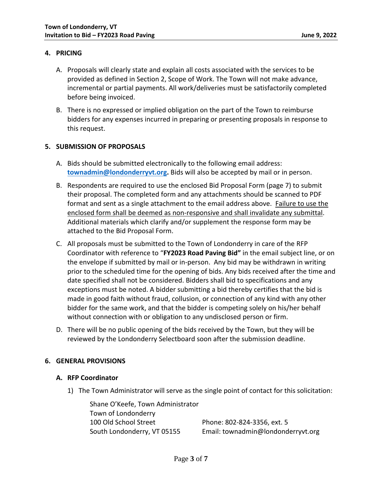### **4. PRICING**

- A. Proposals will clearly state and explain all costs associated with the services to be provided as defined in Section 2, Scope of Work. The Town will not make advance, incremental or partial payments. All work/deliveries must be satisfactorily completed before being invoiced.
- B. There is no expressed or implied obligation on the part of the Town to reimburse bidders for any expenses incurred in preparing or presenting proposals in response to this request.

### **5. SUBMISSION OF PROPOSALS**

- A. Bids should be submitted electronically to the following email address: **[townadmin@londonderryvt.org.](mailto:townadmin@londonderryvt.org)** Bids will also be accepted by mail or in person.
- B. Respondents are required to use the enclosed Bid Proposal Form (page 7) to submit their proposal. The completed form and any attachments should be scanned to PDF format and sent as a single attachment to the email address above. Failure to use the enclosed form shall be deemed as non-responsive and shall invalidate any submittal. Additional materials which clarify and/or supplement the response form may be attached to the Bid Proposal Form.
- C. All proposals must be submitted to the Town of Londonderry in care of the RFP Coordinator with reference to "**FY2023 Road Paving Bid"** in the email subject line, or on the envelope if submitted by mail or in-person. Any bid may be withdrawn in writing prior to the scheduled time for the opening of bids. Any bids received after the time and date specified shall not be considered. Bidders shall bid to specifications and any exceptions must be noted. A bidder submitting a bid thereby certifies that the bid is made in good faith without fraud, collusion, or connection of any kind with any other bidder for the same work, and that the bidder is competing solely on his/her behalf without connection with or obligation to any undisclosed person or firm.
- D. There will be no public opening of the bids received by the Town, but they will be reviewed by the Londonderry Selectboard soon after the submission deadline.

### **6. GENERAL PROVISIONS**

#### **A. RFP Coordinator**

1) The Town Administrator will serve as the single point of contact for this solicitation:

Shane O'Keefe, Town Administrator Town of Londonderry 100 Old School Street Phone: 802-824-3356, ext. 5

South Londonderry, VT 05155 Email: townadmin@londonderryvt.org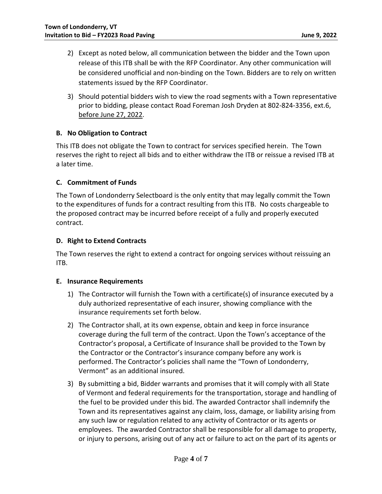- 2) Except as noted below, all communication between the bidder and the Town upon release of this ITB shall be with the RFP Coordinator. Any other communication will be considered unofficial and non-binding on the Town. Bidders are to rely on written statements issued by the RFP Coordinator.
- 3) Should potential bidders wish to view the road segments with a Town representative prior to bidding, please contact Road Foreman Josh Dryden at 802-824-3356, ext.6, before June 27, 2022.

### **B. No Obligation to Contract**

This ITB does not obligate the Town to contract for services specified herein. The Town reserves the right to reject all bids and to either withdraw the ITB or reissue a revised ITB at a later time.

### **C. Commitment of Funds**

The Town of Londonderry Selectboard is the only entity that may legally commit the Town to the expenditures of funds for a contract resulting from this ITB. No costs chargeable to the proposed contract may be incurred before receipt of a fully and properly executed contract.

### **D. Right to Extend Contracts**

The Town reserves the right to extend a contract for ongoing services without reissuing an ITB.

### **E. Insurance Requirements**

- 1) The Contractor will furnish the Town with a certificate(s) of insurance executed by a duly authorized representative of each insurer, showing compliance with the insurance requirements set forth below.
- 2) The Contractor shall, at its own expense, obtain and keep in force insurance coverage during the full term of the contract. Upon the Town's acceptance of the Contractor's proposal, a Certificate of Insurance shall be provided to the Town by the Contractor or the Contractor's insurance company before any work is performed. The Contractor's policies shall name the "Town of Londonderry, Vermont" as an additional insured.
- 3) By submitting a bid, Bidder warrants and promises that it will comply with all State of Vermont and federal requirements for the transportation, storage and handling of the fuel to be provided under this bid. The awarded Contractor shall indemnify the Town and its representatives against any claim, loss, damage, or liability arising from any such law or regulation related to any activity of Contractor or its agents or employees. The awarded Contractor shall be responsible for all damage to property, or injury to persons, arising out of any act or failure to act on the part of its agents or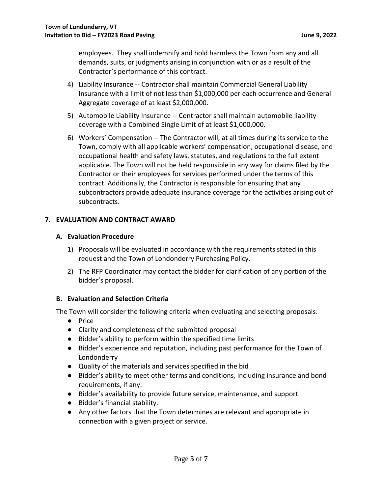employees. They shall indemnify and hold harmless the Town from any and all demands, suits, or judgments arising in conjunction with or as a result of the Contractor's performance of this contract.

- 4) Liability Insurance -- Contractor shall maintain Commercial General Liability Insurance with a limit of not less than \$1,000,000 per each occurrence and General Aggregate coverage of at least \$2,000,000.
- 5) Automobile Liability Insurance -- Contractor shall maintain automobile liability coverage with a Combined Single Limit of at least \$1,000,000.
- 6) Workers' Compensation -- The Contractor will, at all times during its service to the Town, comply with all applicable workers' compensation, occupational disease, and occupational health and safety laws, statutes, and regulations to the full extent applicable. The Town will not be held responsible in any way for claims filed by the Contractor or their employees for services performed under the terms of this contract. Additionally, the Contractor is responsible for ensuring that any subcontractors provide adequate insurance coverage for the activities arising out of subcontracts.

### **7. EVALUATION AND CONTRACT AWARD**

### **A. Evaluation Procedure**

- 1) Proposals will be evaluated in accordance with the requirements stated in this request and the Town of Londonderry Purchasing Policy.
- 2) The RFP Coordinator may contact the bidder for clarification of any portion of the bidder's proposal.

### **B. Evaluation and Selection Criteria**

The Town will consider the following criteria when evaluating and selecting proposals:

- Price
- Clarity and completeness of the submitted proposal
- Bidder's ability to perform within the specified time limits
- Bidder's experience and reputation, including past performance for the Town of Londonderry
- Quality of the materials and services specified in the bid
- Bidder's ability to meet other terms and conditions, including insurance and bond requirements, if any.
- Bidder's availability to provide future service, maintenance, and support.
- Bidder's financial stability.
- Any other factors that the Town determines are relevant and appropriate in connection with a given project or service.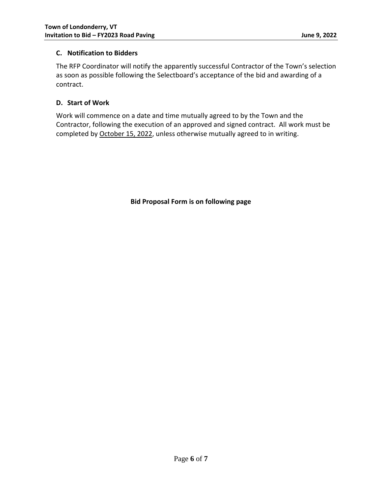## **C. Notification to Bidders**

The RFP Coordinator will notify the apparently successful Contractor of the Town's selection as soon as possible following the Selectboard's acceptance of the bid and awarding of a contract.

# **D. Start of Work**

Work will commence on a date and time mutually agreed to by the Town and the Contractor, following the execution of an approved and signed contract. All work must be completed by October 15, 2022, unless otherwise mutually agreed to in writing.

**Bid Proposal Form is on following page**